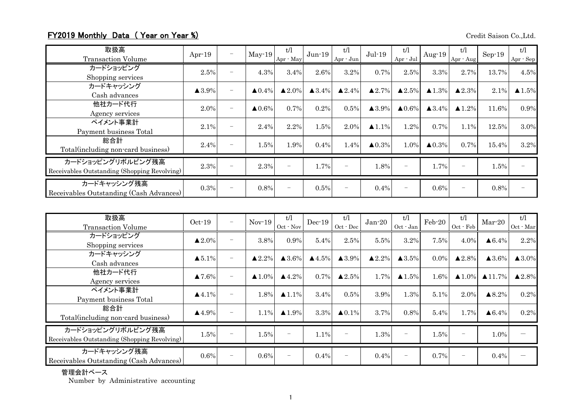## FY2019 Monthly Data (Year on Year %) Credit Saison Co.,Ltd.

| 取扱高<br><b>Transaction Volume</b>                                  | Apr $-19$             | $\overline{\phantom{m}}$ | $May-19$          | t/l<br>Apr - May       | $Jun-19$          | t/l<br>Apr - Jun         | $Jul-19$              | t/l<br>$Apr - Jul$       | Aug- $19$         | t/l<br>Apr - Aug  | $Sep-19$ | t/l<br>Apr - Sep |
|-------------------------------------------------------------------|-----------------------|--------------------------|-------------------|------------------------|-------------------|--------------------------|-----------------------|--------------------------|-------------------|-------------------|----------|------------------|
| カードショッピング<br>Shopping services                                    | 2.5%                  |                          | 4.3%              | 3.4%                   | 2.6%              | 3.2%                     | $0.7\%$               | 2.5%                     | 3.3%              | 2.7%              | 13.7%    | 4.5%             |
| カードキャッシング<br>Cash advances                                        | $\blacktriangle$ 3.9% | $\overline{\phantom{0}}$ | $\triangle 0.4\%$ | $\blacktriangle 2.0\%$ | $\triangle 3.4\%$ | $\blacktriangle 2.4\%$   | $\triangle 2.7\%$     | $\blacktriangle 2.5\%$   | $\triangle 1.3\%$ | $\triangle 2.3\%$ | 2.1%     | $\triangle$ 1.5% |
| 他社カード代行<br>Agency services                                        | 2.0%                  | $\overline{\phantom{0}}$ | $\triangle 0.6\%$ | 0.7%                   | 0.2%              | 0.5%                     | $\blacktriangle$ 3.9% | $\triangle 0.6\%$        | $\triangle 3.4\%$ | $\triangle 1.2\%$ | 11.6%    | 0.9%             |
| ペイメント事業計<br>Payment business Total                                | 2.1%                  | $\overline{\phantom{m}}$ | 2.4%              | 2.2%                   | 1.5%              | 2.0%                     | $\blacktriangle$ 1.1% | 1.2%                     | $0.7\%$           | 1.1%              | 12.5%    | 3.0%             |
| 総合計<br>Total (including non-card business)                        | 2.4%                  |                          | $1.5\%$           | 1.9%                   | $0.4\%$           | 1.4%                     | $\triangle 0.3\%$     | 1.0%                     | $\triangle 0.3\%$ | 0.7%              | 15.4%    | 3.2%             |
| カードショッピングリボルビング残高<br>Receivables Outstanding (Shopping Revolving) | 2.3%                  | $\overline{\phantom{m}}$ | 2.3%              |                        | 1.7%              | $\overline{\phantom{m}}$ | 1.8%                  | $\overline{\phantom{m}}$ | 1.7%              |                   | 1.5%     |                  |
| カードキャッシング残高<br>Receivables Outstanding (Cash Advances)            | 0.3%                  |                          | 0.8%              |                        | 0.5%              | $\overline{\phantom{m}}$ | $0.4\%$               |                          | $0.6\%$           |                   | 0.8%     |                  |

| 取扱高<br><b>Transaction Volume</b>                                  | $Oct-19$               | $\overline{\phantom{m}}$ | $Nov-19$          | t/l<br>Oct - Nov       | $Dec-19$         | t/l<br>Oct - Dec         | $Jan-20$               | t/l<br>Oct - Jan         | Feb-20  | t/l<br>Oct - Feb       | $Mar-20$                             | t/l<br>Oct - Mar       |
|-------------------------------------------------------------------|------------------------|--------------------------|-------------------|------------------------|------------------|--------------------------|------------------------|--------------------------|---------|------------------------|--------------------------------------|------------------------|
| カードショッピング<br>Shopping services                                    | $\blacktriangle 2.0\%$ | $\overline{\phantom{m}}$ | 3.8%              | 0.9%                   | 5.4%             | 2.5%                     | 5.5%                   | 3.2%                     | 7.5%    | 4.0%                   | $\triangle 6.4\%$                    | 2.2%                   |
| カードキャッシング<br>Cash advances                                        | $\blacktriangle 5.1\%$ | $\overline{\phantom{0}}$ | $\triangle 2.2\%$ | $\triangle 3.6\%$      | $\triangle$ 4.5% | $\blacktriangle$ 3.9%    | $\blacktriangle 2.2\%$ | $\triangle 3.5\%$        | $0.0\%$ | $\blacktriangle 2.8\%$ | $\blacktriangle$ 3.6%                | $\triangle 3.0\%$      |
| 他社カード代行<br>Agency services                                        | $\blacktriangle 7.6\%$ | $\equiv$                 | $\triangle 1.0\%$ | $\blacktriangle 4.2\%$ | 0.7%             | $\blacktriangle 2.5\%$   | 1.7%                   | $\blacktriangle$ 1.5%    | 1.6%    |                        | $\triangle 1.0\%$ $\triangle 11.7\%$ | $\blacktriangle 2.8\%$ |
| ペイメント事業計<br>Payment business Total                                | $\blacktriangle$ 4.1%  | $\overline{\phantom{0}}$ | 1.8%              | $\triangle 1.1\%$      | 3.4%             | 0.5%                     | 3.9%                   | 1.3%                     | 5.1%    | 2.0%                   | $\blacktriangle 8.2\%$               | 0.2%                   |
| 総合計<br>Total (including non-card business)                        | $\blacktriangle$ 4.9%  | $\overline{\phantom{m}}$ | 1.1%              | $\blacktriangle$ 1.9%  | 3.3%             | $\triangle 0.1\%$        | 3.7%                   | 0.8%                     | 5.4%    | 1.7%                   | $\triangle 6.4\%$                    | 0.2%                   |
| カードショッピングリボルビング残高<br>Receivables Outstanding (Shopping Revolving) | 1.5%                   |                          | 1.5%              | $\equiv$               | 1.1%             | $\overline{\phantom{m}}$ | 1.3%                   | $\overline{\phantom{m}}$ | 1.5%    | $\qquad \qquad -$      | 1.0%                                 |                        |
| カードキャッシング残高<br>Receivables Outstanding (Cash Advances)            | $0.6\%$                | $\overline{\phantom{m}}$ | $0.6\%$           |                        | 0.4%             | -                        | 0.4%                   |                          | 0.7%    | -                      | 0.4%                                 |                        |

## 管理会計ベース

Number by Administrative accounting